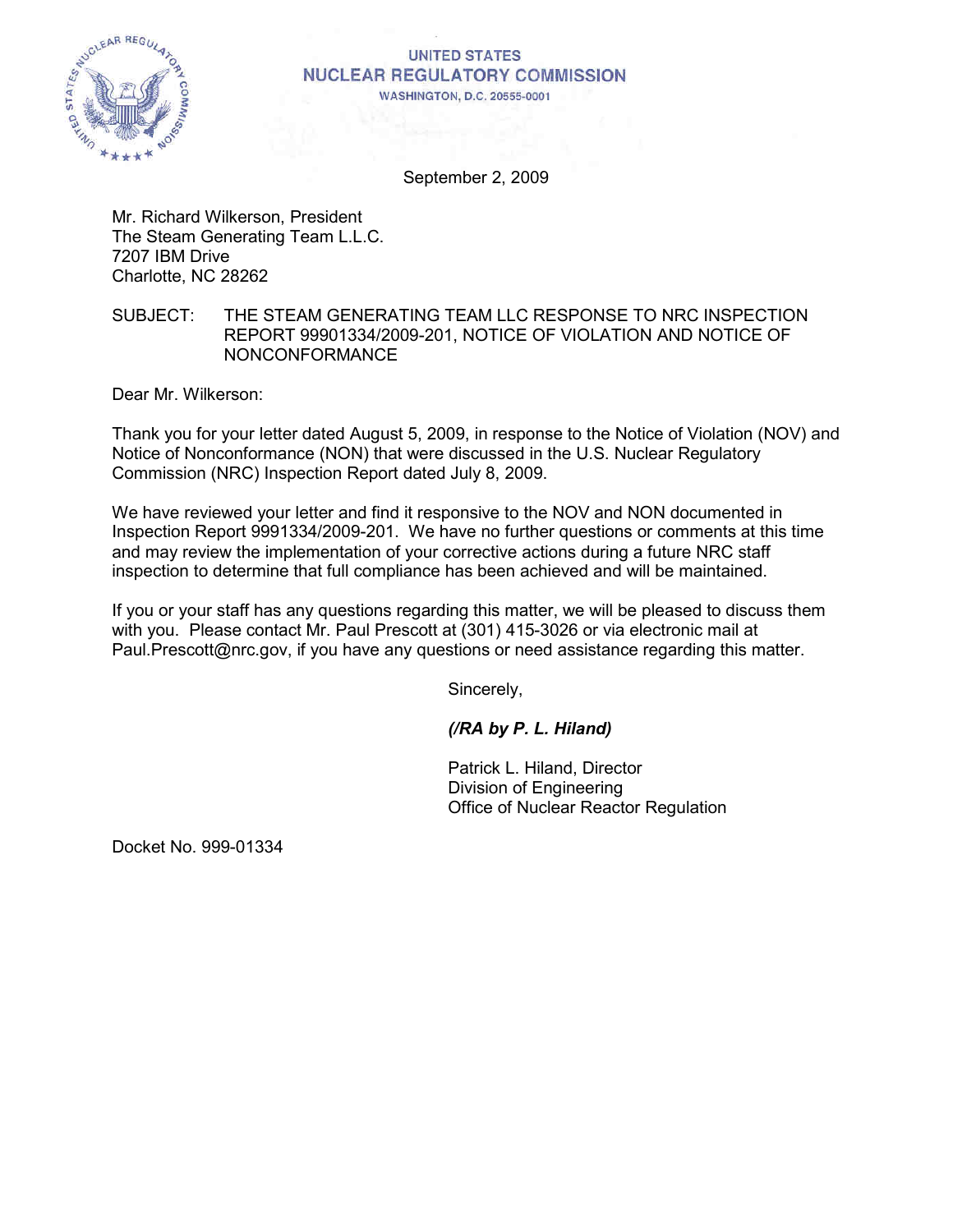

#### **UNITED STATES NUCLEAR REGULATORY COMMISSION WASHINGTON, D.C. 20555-0001**

September 2, 2009

Mr. Richard Wilkerson, President The Steam Generating Team L.L.C. 7207 IBM Drive Charlotte, NC 28262

## SUBJECT: THE STEAM GENERATING TEAM LLC RESPONSE TO NRC INSPECTION REPORT 99901334/2009-201, NOTICE OF VIOLATION AND NOTICE OF NONCONFORMANCE

Dear Mr. Wilkerson:

Thank you for your letter dated August 5, 2009, in response to the Notice of Violation (NOV) and Notice of Nonconformance (NON) that were discussed in the U.S. Nuclear Regulatory Commission (NRC) Inspection Report dated July 8, 2009.

We have reviewed your letter and find it responsive to the NOV and NON documented in Inspection Report 9991334/2009-201. We have no further questions or comments at this time and may review the implementation of your corrective actions during a future NRC staff inspection to determine that full compliance has been achieved and will be maintained.

If you or your staff has any questions regarding this matter, we will be pleased to discuss them with you. Please contact Mr. Paul Prescott at (301) 415-3026 or via electronic mail at Paul.Prescott@nrc.gov, if you have any questions or need assistance regarding this matter.

Sincerely,

*(/RA by P. L. Hiland)* 

Patrick L. Hiland, Director Division of Engineering Office of Nuclear Reactor Regulation

Docket No. 999-01334